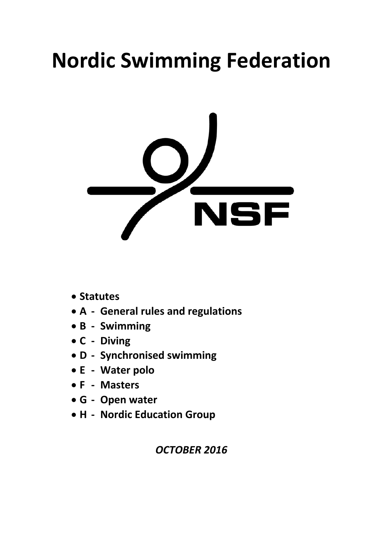# **Nordic Swimming Federation**



- **Statutes**
- **A ‐ General rules and regulations**
- **B ‐ Swimming**
- **C ‐ Diving**
- **D ‐ Synchronised swimming**
- **E ‐ Water polo**
- **F ‐ Masters**
- **G ‐ Open water**
- **H ‐ Nordic Education Group**

*OCTOBER 2016*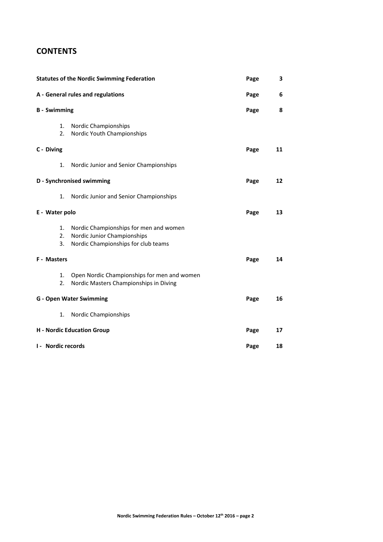# **CONTENTS**

| <b>Statutes of the Nordic Swimming Federation</b><br>A - General rules and regulations<br><b>B</b> - Swimming |                                                                                                              | Page | 3  |
|---------------------------------------------------------------------------------------------------------------|--------------------------------------------------------------------------------------------------------------|------|----|
|                                                                                                               |                                                                                                              | Page | 6  |
|                                                                                                               |                                                                                                              | Page | 8  |
| 1.<br>2.                                                                                                      | Nordic Championships<br>Nordic Youth Championships                                                           |      |    |
| C - Diving                                                                                                    |                                                                                                              | Page | 11 |
| 1.                                                                                                            | Nordic Junior and Senior Championships                                                                       |      |    |
| D - Synchronised swimming                                                                                     |                                                                                                              | Page | 12 |
| 1.                                                                                                            | Nordic Junior and Senior Championships                                                                       |      |    |
| E - Water polo                                                                                                |                                                                                                              | Page | 13 |
| 1.<br>2.<br>3.                                                                                                | Nordic Championships for men and women<br>Nordic Junior Championships<br>Nordic Championships for club teams |      |    |
| F - Masters                                                                                                   |                                                                                                              | Page | 14 |
| 1.<br>2.                                                                                                      | Open Nordic Championships for men and women<br>Nordic Masters Championships in Diving                        |      |    |
| <b>G</b> - Open Water Swimming                                                                                |                                                                                                              | Page | 16 |
| 1.                                                                                                            | Nordic Championships                                                                                         |      |    |
| <b>H</b> - Nordic Education Group                                                                             |                                                                                                              | Page | 17 |
| <b>I - Nordic records</b>                                                                                     |                                                                                                              | Page | 18 |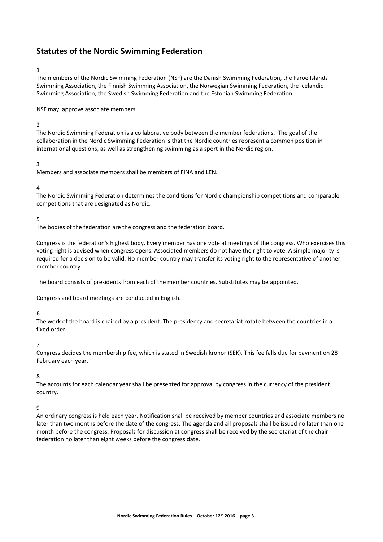# **Statutes of the Nordic Swimming Federation**

# 1

The members of the Nordic Swimming Federation (NSF) are the Danish Swimming Federation, the Faroe Islands Swimming Association, the Finnish Swimming Association, the Norwegian Swimming Federation, the Icelandic Swimming Association, the Swedish Swimming Federation and the Estonian Swimming Federation.

NSF may approve associate members.

# $\overline{2}$

The Nordic Swimming Federation is a collaborative body between the member federations. The goal of the collaboration in the Nordic Swimming Federation is that the Nordic countries represent a common position in international questions, as well as strengthening swimming as a sport in the Nordic region.

# 3

Members and associate members shall be members of FINA and LEN.

# 4

The Nordic Swimming Federation determines the conditions for Nordic championship competitions and comparable competitions that are designated as Nordic.

#### 5

The bodies of the federation are the congress and the federation board.

Congress is the federation's highest body. Every member has one vote at meetings of the congress. Who exercises this voting right is advised when congress opens. Associated members do not have the right to vote. A simple majority is required for a decision to be valid. No member country may transfer its voting right to the representative of another member country.

The board consists of presidents from each of the member countries. Substitutes may be appointed.

Congress and board meetings are conducted in English.

#### 6

The work of the board is chaired by a president. The presidency and secretariat rotate between the countries in a fixed order.

#### 7

Congress decides the membership fee, which is stated in Swedish kronor (SEK). This fee falls due for payment on 28 February each year.

#### 8

The accounts for each calendar year shall be presented for approval by congress in the currency of the president country.

#### 9

An ordinary congress is held each year. Notification shall be received by member countries and associate members no later than two months before the date of the congress. The agenda and all proposals shall be issued no later than one month before the congress. Proposals for discussion at congress shall be received by the secretariat of the chair federation no later than eight weeks before the congress date.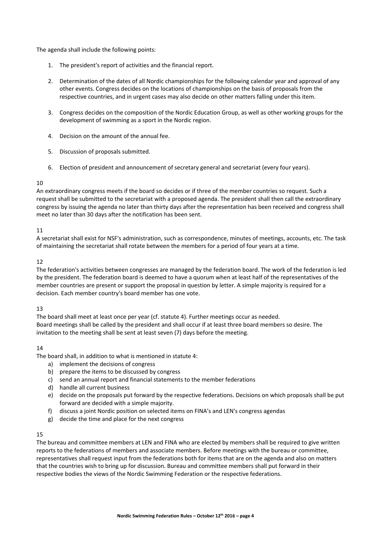The agenda shall include the following points:

- 1. The president's report of activities and the financial report.
- 2. Determination of the dates of all Nordic championships for the following calendar year and approval of any other events. Congress decides on the locations of championships on the basis of proposals from the respective countries, and in urgent cases may also decide on other matters falling under this item.
- 3. Congress decides on the composition of the Nordic Education Group, as well as other working groups for the development of swimming as a sport in the Nordic region.
- 4. Decision on the amount of the annual fee.
- 5. Discussion of proposals submitted.
- 6. Election of president and announcement of secretary general and secretariat (every four years).

# $1<sub>0</sub>$

An extraordinary congress meets if the board so decides or if three of the member countries so request. Such a request shall be submitted to the secretariat with a proposed agenda. The president shall then call the extraordinary congress by issuing the agenda no later than thirty days after the representation has been received and congress shall meet no later than 30 days after the notification has been sent.

# 11

A secretariat shall exist for NSF's administration, such as correspondence, minutes of meetings, accounts, etc. The task of maintaining the secretariat shall rotate between the members for a period of four years at a time.

# 12

The federation's activities between congresses are managed by the federation board. The work of the federation is led by the president. The federation board is deemed to have a quorum when at least half of the representatives of the member countries are present or support the proposal in question by letter. A simple majority is required for a decision. Each member country's board member has one vote.

# 13

The board shall meet at least once per year (cf. statute 4). Further meetings occur as needed. Board meetings shall be called by the president and shall occur if at least three board members so desire. The invitation to the meeting shall be sent at least seven (7) days before the meeting.

# 14

The board shall, in addition to what is mentioned in statute 4:

- a) implement the decisions of congress
- b) prepare the items to be discussed by congress
- c) send an annual report and financial statements to the member federations
- d) handle all current business
- e) decide on the proposals put forward by the respective federations. Decisions on which proposals shall be put forward are decided with a simple majority.
- f) discuss a joint Nordic position on selected items on FINA's and LEN's congress agendas
- g) decide the time and place for the next congress

# 15

The bureau and committee members at LEN and FINA who are elected by members shall be required to give written reports to the federations of members and associate members. Before meetings with the bureau or committee, representatives shall request input from the federations both for items that are on the agenda and also on matters that the countries wish to bring up for discussion. Bureau and committee members shall put forward in their respective bodies the views of the Nordic Swimming Federation or the respective federations.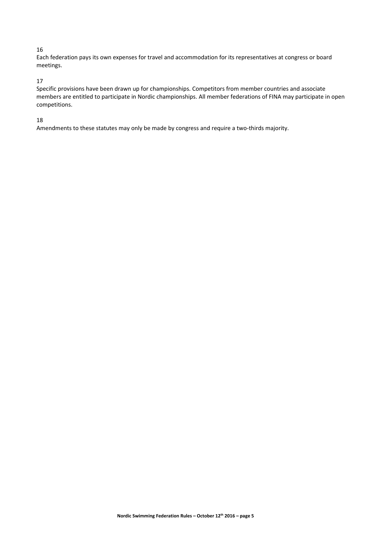# 16

Each federation pays its own expenses for travel and accommodation for its representatives at congress or board meetings.

# 17

Specific provisions have been drawn up for championships. Competitors from member countries and associate members are entitled to participate in Nordic championships. All member federations of FINA may participate in open competitions.

# 18

Amendments to these statutes may only be made by congress and require a two-thirds majority.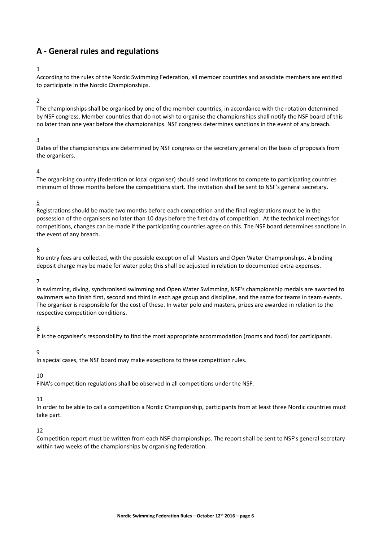# **A ‐ General rules and regulations**

# 1

According to the rules of the Nordic Swimming Federation, all member countries and associate members are entitled to participate in the Nordic Championships.

#### 2

The championships shall be organised by one of the member countries, in accordance with the rotation determined by NSF congress. Member countries that do not wish to organise the championships shall notify the NSF board of this no later than one year before the championships. NSF congress determines sanctions in the event of any breach.

#### 3

Dates of the championships are determined by NSF congress or the secretary general on the basis of proposals from the organisers.

#### 4

The organising country (federation or local organiser) should send invitations to compete to participating countries minimum of three months before the competitions start. The invitation shall be sent to NSF's general secretary.

# 5

Registrations should be made two months before each competition and the final registrations must be in the possession of the organisers no later than 10 days before the first day of competition. At the technical meetings for competitions, changes can be made if the participating countries agree on this. The NSF board determines sanctions in the event of any breach.

# 6

No entry fees are collected, with the possible exception of all Masters and Open Water Championships. A binding deposit charge may be made for water polo; this shall be adjusted in relation to documented extra expenses.

#### 7

In swimming, diving, synchronised swimming and Open Water Swimming, NSF's championship medals are awarded to swimmers who finish first, second and third in each age group and discipline, and the same for teams in team events. The organiser is responsible for the cost of these. In water polo and masters, prizes are awarded in relation to the respective competition conditions.

#### 8

It is the organiser's responsibility to find the most appropriate accommodation (rooms and food) for participants.

#### 9

In special cases, the NSF board may make exceptions to these competition rules.

#### 10

FINA's competition regulations shall be observed in all competitions under the NSF.

#### 11

In order to be able to call a competition a Nordic Championship, participants from at least three Nordic countries must take part.

#### 12

Competition report must be written from each NSF championships. The report shall be sent to NSF's general secretary within two weeks of the championships by organising federation.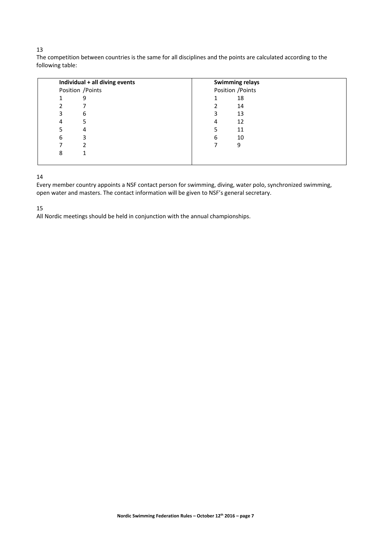# 

The competition between countries is the same for all disciplines and the points are calculated according to the following table:

| Individual + all diving events | <b>Swimming relays</b> |
|--------------------------------|------------------------|
| Position / Points              | Position / Points      |
| 9                              | 18                     |
|                                | 14                     |
| 6                              | 13                     |
| 5                              | 12<br>4                |
| 4                              | 11                     |
| 3<br>6                         | 10<br>6                |
|                                | 9                      |
| 8                              |                        |
|                                |                        |

# 

Every member country appoints a NSF contact person for swimming, diving, water polo, synchronized swimming, open water and masters. The contact information will be given to NSF's general secretary.

All Nordic meetings should be held in conjunction with the annual championships.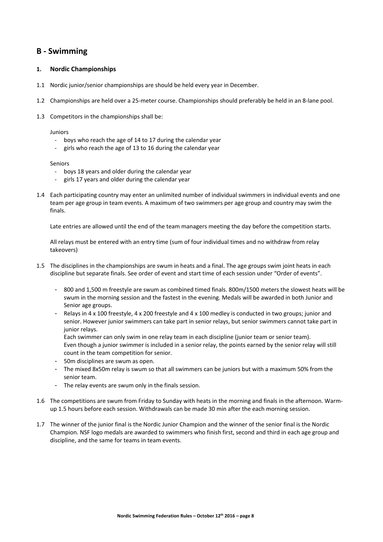# **B ‐ Swimming**

# **1. Nordic Championships**

- 1.1 Nordic junior/senior championships are should be held every year in December.
- 1.2 Championships are held over a 25‐meter course. Championships should preferably be held in an 8‐lane pool.
- 1.3 Competitors in the championships shall be:

#### Juniors

- ‐ boys who reach the age of 14 to 17 during the calendar year
- girls who reach the age of 13 to 16 during the calendar year

#### Seniors

- ‐ boys 18 years and older during the calendar year
- girls 17 years and older during the calendar year
- 1.4 Each participating country may enter an unlimited number of individual swimmers in individual events and one team per age group in team events. A maximum of two swimmers per age group and country may swim the finals.

Late entries are allowed until the end of the team managers meeting the day before the competition starts.

All relays must be entered with an entry time (sum of four individual times and no withdraw from relay takeovers)

- 1.5 The disciplines in the championships are swum in heats and a final. The age groups swim joint heats in each discipline but separate finals. See order of event and start time of each session under "Order of events".
	- 800 and 1,500 m freestyle are swum as combined timed finals. 800m/1500 meters the slowest heats will be swum in the morning session and the fastest in the evening. Medals will be awarded in both Junior and Senior age groups.
	- Relays in 4 x 100 freestyle, 4 x 200 freestyle and 4 x 100 medley is conducted in two groups; junior and senior. However junior swimmers can take part in senior relays, but senior swimmers cannot take part in junior relays.

Each swimmer can only swim in one relay team in each discipline (junior team or senior team). Even though a junior swimmer is included in a senior relay, the points earned by the senior relay will still count in the team competition for senior.

- 50m disciplines are swum as open.
- The mixed 8x50m relay is swum so that all swimmers can be juniors but with a maximum 50% from the senior team.
- The relay events are swum only in the finals session.
- 1.6 The competitions are swum from Friday to Sunday with heats in the morning and finals in the afternoon. Warm‐ up 1.5 hours before each session. Withdrawals can be made 30 min after the each morning session.
- 1.7 The winner of the junior final is the Nordic Junior Champion and the winner of the senior final is the Nordic Champion. NSF logo medals are awarded to swimmers who finish first, second and third in each age group and discipline, and the same for teams in team events.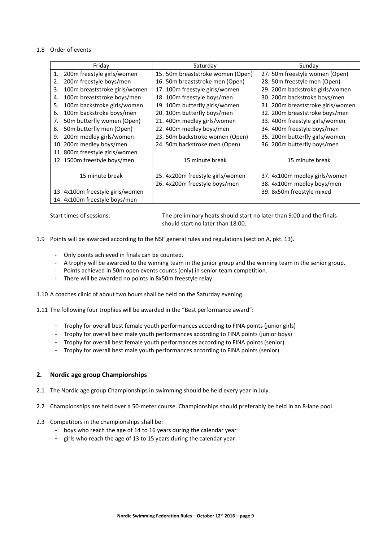#### 1.8 Order of events

| Friday                              | Saturday                          | Sunday                            |
|-------------------------------------|-----------------------------------|-----------------------------------|
| 200m freestyle girls/women<br>1.    | 15. 50m breaststroke women (Open) | 27. 50m freestyle women (Open)    |
| 200m freestyle boys/men<br>2.       | 16. 50m breaststroke men (Open)   | 28. 50m freestyle men (Open)      |
| 100m breaststroke girls/women<br>3. | 17. 100m freestyle girls/women    | 29. 200m backstroke girls/women   |
| 100m breaststroke boys/men<br>4.    | 18. 100m freestyle boys/men       | 30. 200m backstroke boys/men      |
| 100m backstroke girls/women<br>5.   | 19. 100m butterfly girls/women    | 31. 200m breaststroke girls/women |
| 100m backstroke boys/men<br>6.      | 20. 100m butterfly boys/men       | 32. 200m breaststroke boys/men    |
| 50m butterfly women (Open)<br>7.    | 21. 400m medley girls/women       | 33. 400m freestyle girls/women    |
| 50m butterfly men (Open)<br>8.      | 22. 400m medley boys/men          | 34. 400m freestyle boys/men       |
| 200m medley girls/women<br>9.       | 23. 50m backstroke women (Open)   | 35. 200m butterfly girls/women    |
| 10. 200m medley boys/men            | 24. 50m backstroke men (Open)     | 36. 200m butterfly boys/men       |
| 11. 800m freestyle girls/women      |                                   |                                   |
| 12. 1500m freestyle boys/men        | 15 minute break                   | 15 minute break                   |
|                                     |                                   |                                   |
| 15 minute break                     | 25. 4x200m freestyle girls/women  | 37. 4x100m medley girls/women     |
|                                     | 26. 4x200m freestyle boys/men     | 38. 4x100m medley boys/men        |
| 13. 4x100m freestyle girls/women    |                                   | 39. 8x50m freestyle mixed         |
| 14. 4x100m freestyle boys/men       |                                   |                                   |

Start times of sessions: The preliminary heats should start no later than 9:00 and the finals should start no later than 18:00.

1.9 Points will be awarded according to the NSF general rules and regulations (section A, pkt. 13).

- ‐ Only points achieved in finals can be counted.
- ‐ A trophy will be awarded to the winning team in the junior group and the winning team in the senior group.
- ‐ Points achieved in 50m open events counts (only) in senior team competition.
- ‐ There will be awarded no points in 8x50m freestyle relay.

1.10 A coaches clinic of about two hours shall be held on the Saturday evening.

1.11 The following four trophies will be awarded in the "Best performance award":

- Trophy for overall best female youth performances according to FINA points (junior girls)
- Trophy for overall best male youth performances according to FINA points (junior boys)
- Trophy for overall best female youth performances according to FINA points (senior)
- Trophy for overall best male youth performances according to FINA points (senior)

# **2. Nordic age group Championships**

- 2.1 The Nordic age group Championships in swimming should be held every year in July.
- 2.2 Championships are held over a 50‐meter course. Championships should preferably be held in an 8‐lane pool.
- 2.3 Competitors in the championships shall be:
	- boys who reach the age of 14 to 16 years during the calendar year
	- girls who reach the age of 13 to 15 years during the calendar year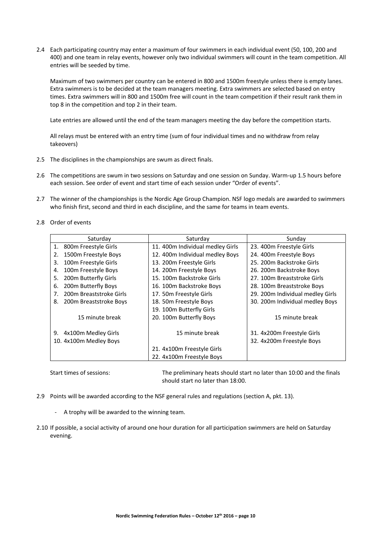2.4 Each participating country may enter a maximum of four swimmers in each individual event (50, 100, 200 and 400) and one team in relay events, however only two individual swimmers will count in the team competition. All entries will be seeded by time.

Maximum of two swimmers per country can be entered in 800 and 1500m freestyle unless there is empty lanes. Extra swimmers is to be decided at the team managers meeting. Extra swimmers are selected based on entry times. Extra swimmers will in 800 and 1500m free will count in the team competition if their result rank them in top 8 in the competition and top 2 in their team.

Late entries are allowed until the end of the team managers meeting the day before the competition starts.

All relays must be entered with an entry time (sum of four individual times and no withdraw from relay takeovers)

- 2.5 The disciplines in the championships are swum as direct finals.
- 2.6 The competitions are swum in two sessions on Saturday and one session on Sunday. Warm‐up 1.5 hours before each session. See order of event and start time of each session under "Order of events".
- 2.7 The winner of the championships is the Nordic Age Group Champion. NSF logo medals are awarded to swimmers who finish first, second and third in each discipline, and the same for teams in team events.
- 2.8 Order of events

| Saturday                      | Saturday                         | Sunday                           |
|-------------------------------|----------------------------------|----------------------------------|
| 1. 800m Freestyle Girls       | 11. 400m Individual medley Girls | 23. 400m Freestyle Girls         |
| 1500m Freestyle Boys<br>2.    | 12. 400m Individual medley Boys  | 24. 400m Freestyle Boys          |
| 100m Freestyle Girls<br>3.    | 13. 200m Freestyle Girls         | 25. 200m Backstroke Girls        |
| 100m Freestyle Boys<br>4.     | 14. 200m Freestyle Boys          | 26. 200m Backstroke Boys         |
| 200m Butterfly Girls<br>5.    | 15. 100m Backstroke Girls        | 27. 100m Breaststroke Girls      |
| 200m Butterfly Boys<br>6.     | 16. 100m Backstroke Boys         | 28. 100m Breaststroke Boys       |
| 200m Breaststroke Girls<br>7. | 17. 50m Freestyle Girls          | 29. 200 mIndividual medley Girls |
| 200m Breaststroke Boys<br>8.  | 18. 50m Freestyle Boys           | 30. 200m Individual medley Boys  |
|                               | 19. 100m Butterfly Girls         |                                  |
| 15 minute break               | 20. 100m Butterfly Boys          | 15 minute break                  |
|                               |                                  |                                  |
| 4x100m Medley Girls<br>9.     | 15 minute break                  | 31. 4x200m Freestyle Girls       |
| 10. 4x100m Medley Boys        |                                  | 32. 4x200m Freestyle Boys        |
|                               | 21. 4x100m Freestyle Girls       |                                  |
|                               | 22. 4x100m Freestyle Boys        |                                  |

Start times of sessions: The preliminary heats should start no later than 10:00 and the finals should start no later than 18:00.

- 2.9 Points will be awarded according to the NSF general rules and regulations (section A, pkt. 13).
	- ‐ A trophy will be awarded to the winning team.
- 2.10 If possible, a social activity of around one hour duration for all participation swimmers are held on Saturday evening.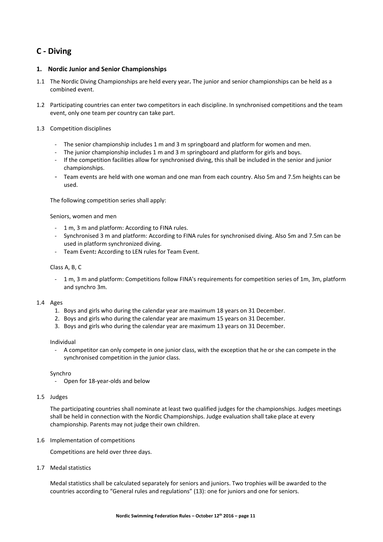# **C ‐ Diving**

# **1. Nordic Junior and Senior Championships**

- 1.1 The Nordic Diving Championships are held every year**.** The junior and senior championships can be held as a combined event.
- 1.2 Participating countries can enter two competitors in each discipline. In synchronised competitions and the team event, only one team per country can take part.

# 1.3 Competition disciplines

- ‐ The senior championship includes 1 m and 3 m springboard and platform for women and men.
- ‐ The junior championship includes 1 m and 3 m springboard and platform for girls and boys.
- ‐ If the competition facilities allow for synchronised diving, this shall be included in the senior and junior championships.
- ‐ Team events are held with one woman and one man from each country. Also 5m and 7.5m heights can be used.

The following competition series shall apply:

#### Seniors, women and men

- ‐ 1 m, 3 m and platform: According to FINA rules.
- ‐ Synchronised 3 m and platform: According to FINA rules for synchronised diving. Also 5m and 7.5m can be used in platform synchronized diving.
- ‐ Team Event**:** According to LEN rules for Team Event.

# Class A, B, C

‐ 1 m, 3 m and platform: Competitions follow FINA's requirements for competition series of 1m, 3m, platform and synchro 3m.

# 1.4 Ages

- 1. Boys and girls who during the calendar year are maximum 18 years on 31 December.
- 2. Boys and girls who during the calendar year are maximum 15 years on 31 December.
- 3. Boys and girls who during the calendar year are maximum 13 years on 31 December.

# Individual

‐ A competitor can only compete in one junior class, with the exception that he or she can compete in the synchronised competition in the junior class.

Synchro

- ‐ Open for 18‐year‐olds and below
- 1.5 Judges

The participating countries shall nominate at least two qualified judges for the championships. Judges meetings shall be held in connection with the Nordic Championships. Judge evaluation shall take place at every championship. Parents may not judge their own children.

1.6 Implementation of competitions

Competitions are held over three days.

1.7 Medal statistics

Medal statistics shall be calculated separately for seniors and juniors. Two trophies will be awarded to the countries according to "General rules and regulations" (13): one for juniors and one for seniors.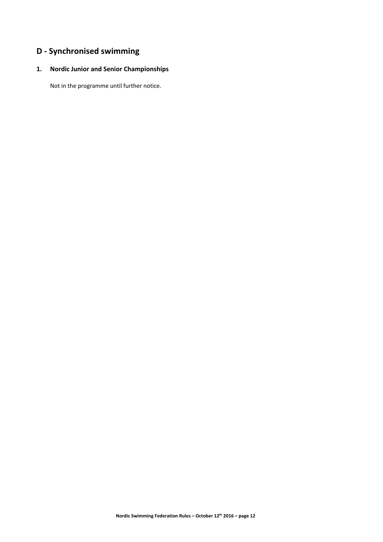# **D ‐ Synchronised swimming**

# **1. Nordic Junior and Senior Championships**

Not in the programme until further notice.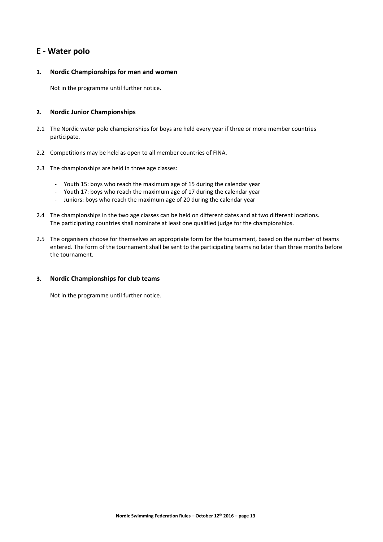# **E ‐ Water polo**

# **1. Nordic Championships for men and women**

Not in the programme until further notice.

# **2. Nordic Junior Championships**

- 2.1 The Nordic water polo championships for boys are held every year if three or more member countries participate.
- 2.2 Competitions may be held as open to all member countries of FINA.
- 2.3 The championships are held in three age classes:
	- ‐ Youth 15: boys who reach the maximum age of 15 during the calendar year
	- ‐ Youth 17: boys who reach the maximum age of 17 during the calendar year
	- ‐ Juniors: boys who reach the maximum age of 20 during the calendar year
- 2.4 The championships in the two age classes can be held on different dates and at two different locations. The participating countries shall nominate at least one qualified judge for the championships.
- 2.5 The organisers choose for themselves an appropriate form for the tournament, based on the number of teams entered. The form of the tournament shall be sent to the participating teams no later than three months before the tournament.

# **3. Nordic Championships for club teams**

Not in the programme until further notice.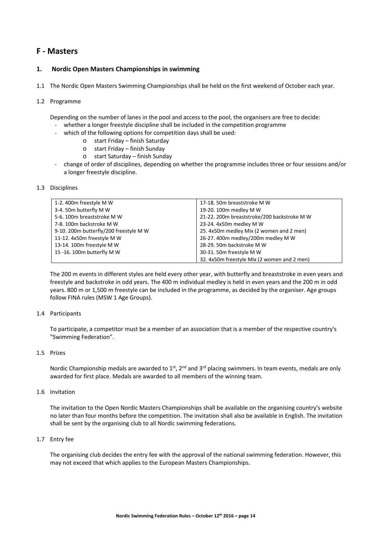# **F ‐ Masters**

# **1. Nordic Open Masters Championships in swimming**

1.1 The Nordic Open Masters Swimming Championships shall be held on the first weekend of October each year.

#### 1.2 Programme

Depending on the number of lanes in the pool and access to the pool, the organisers are free to decide:

- whether a longer freestyle discipline shall be included in the competition programme
	- which of the following options for competition days shall be used:
		- o start Friday finish Saturday
			- o start Friday finish Sunday
		- o start Saturday finish Sunday
- ‐ change of order of disciplines, depending on whether the programme includes three or four sessions and/or a longer freestyle discipline.

#### 1.3 Disciplines

| 1-2.400m freestyle M W                 | 17-18. 50m breaststroke M W                 |
|----------------------------------------|---------------------------------------------|
| 3-4. 50m butterfly M W                 | 19-20. 100m medley M W                      |
| 5-6. 100m breaststroke M W             | 21-22. 200m breaststroke/200 backstroke M W |
| 7-8. 100m backstroke M W               | 23-24. 4x50m medley M W                     |
| 9-10. 200m butterfly/200 freestyle M W | 25. 4x50m medley Mix (2 women and 2 men)    |
| 11-12. 4x50m freestyle M W             | 26-27. 400m medley/200m medley M W          |
| 13-14. 100m freestyle M W              | 28-29. 50m backstroke M W                   |
| 15 -16. 100m butterfly M W             | 30-31. 50m freestyle M W                    |
|                                        | 32. 4x50m freestyle Mix (2 women and 2 men) |

The 200 m events in different styles are held every other year, with butterfly and breaststroke in even years and freestyle and backstroke in odd years. The 400 m individual medley is held in even years and the 200 m in odd years. 800 m or 1,500 m freestyle can be included in the programme, as decided by the organiser. Age groups follow FINA rules (MSW 1 Age Groups).

#### 1.4 Participants

To participate, a competitor must be a member of an association that is a member of the respective country's "Swimming Federation".

#### 1.5 Prizes

Nordic Championship medals are awarded to  $1<sup>st</sup>$ ,  $2<sup>nd</sup>$  and  $3<sup>rd</sup>$  placing swimmers. In team events, medals are only awarded for first place. Medals are awarded to all members of the winning team.

#### 1.6 Invitation

The invitation to the Open Nordic Masters Championships shall be available on the organising country's website no later than four months before the competition. The invitation shall also be available in English. The invitation shall be sent by the organising club to all Nordic swimming federations.

#### 1.7 Entry fee

The organising club decides the entry fee with the approval of the national swimming federation. However, this may not exceed that which applies to the European Masters Championships.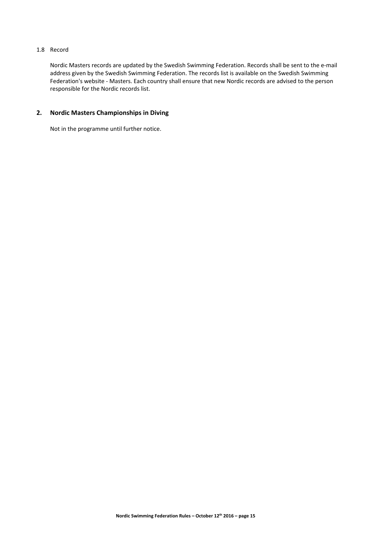# 1.8 Record

Nordic Masters records are updated by the Swedish Swimming Federation. Records shall be sent to the e‐mail address given by the Swedish Swimming Federation. The records list is available on the Swedish Swimming Federation's website - Masters. Each country shall ensure that new Nordic records are advised to the person responsible for the Nordic records list.

# **2. Nordic Masters Championships in Diving**

Not in the programme until further notice.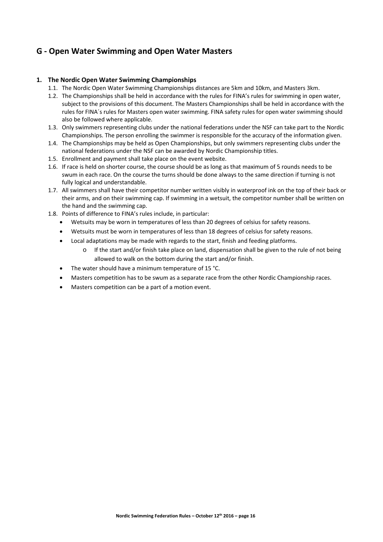# **G ‐ Open Water Swimming and Open Water Masters**

# **1. The Nordic Open Water Swimming Championships**

- 1.1. The Nordic Open Water Swimming Championships distances are 5km and 10km, and Masters 3km.
- 1.2. The Championships shall be held in accordance with the rules for FINA's rules for swimming in open water, subject to the provisions of this document. The Masters Championships shall be held in accordance with the rules for FINA´s rules for Masters open water swimming. FINA safety rules for open water swimming should also be followed where applicable.
- 1.3. Only swimmers representing clubs under the national federations under the NSF can take part to the Nordic Championships. The person enrolling the swimmer is responsible for the accuracy of the information given.
- 1.4. The Championships may be held as Open Championships, but only swimmers representing clubs under the national federations under the NSF can be awarded by Nordic Championship titles.
- 1.5. Enrollment and payment shall take place on the event website.
- 1.6. If race is held on shorter course, the course should be as long as that maximum of 5 rounds needs to be swum in each race. On the course the turns should be done always to the same direction if turning is not fully logical and understandable.
- 1.7. All swimmers shall have their competitor number written visibly in waterproof ink on the top of their back or their arms, and on their swimming cap. If swimming in a wetsuit, the competitor number shall be written on the hand and the swimming cap.
- 1.8. Points of difference to FINA's rules include, in particular:
	- Wetsuits may be worn in temperatures of less than 20 degrees of celsius for safety reasons.
	- Wetsuits must be worn in temperatures of less than 18 degrees of celsius for safety reasons.
	- Local adaptations may be made with regards to the start, finish and feeding platforms.
		- o If the start and/or finish take place on land, dispensation shall be given to the rule of not being allowed to walk on the bottom during the start and/or finish.
	- The water should have a minimum temperature of 15 °C.
	- Masters competition has to be swum as a separate race from the other Nordic Championship races.
	- Masters competition can be a part of a motion event.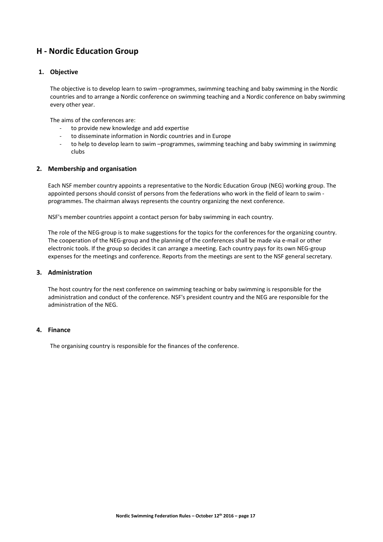# **H ‐ Nordic Education Group**

# **1. Objective**

The objective is to develop learn to swim –programmes, swimming teaching and baby swimming in the Nordic countries and to arrange a Nordic conference on swimming teaching and a Nordic conference on baby swimming every other year.

The aims of the conferences are:

- ‐ to provide new knowledge and add expertise
- to disseminate information in Nordic countries and in Europe
- ‐ to help to develop learn to swim –programmes, swimming teaching and baby swimming in swimming clubs

# **2. Membership and organisation**

Each NSF member country appoints a representative to the Nordic Education Group (NEG) working group. The appointed persons should consist of persons from the federations who work in the field of learn to swim programmes. The chairman always represents the country organizing the next conference.

NSF's member countries appoint a contact person for baby swimming in each country.

The role of the NEG‐group is to make suggestions for the topics for the conferences for the organizing country. The cooperation of the NEG-group and the planning of the conferences shall be made via e-mail or other electronic tools. If the group so decides it can arrange a meeting. Each country pays for its own NEG‐group expenses for the meetings and conference. Reports from the meetings are sent to the NSF general secretary.

# **3. Administration**

The host country for the next conference on swimming teaching or baby swimming is responsible for the administration and conduct of the conference. NSF's president country and the NEG are responsible for the administration of the NEG.

# **4. Finance**

The organising country is responsible for the finances of the conference.